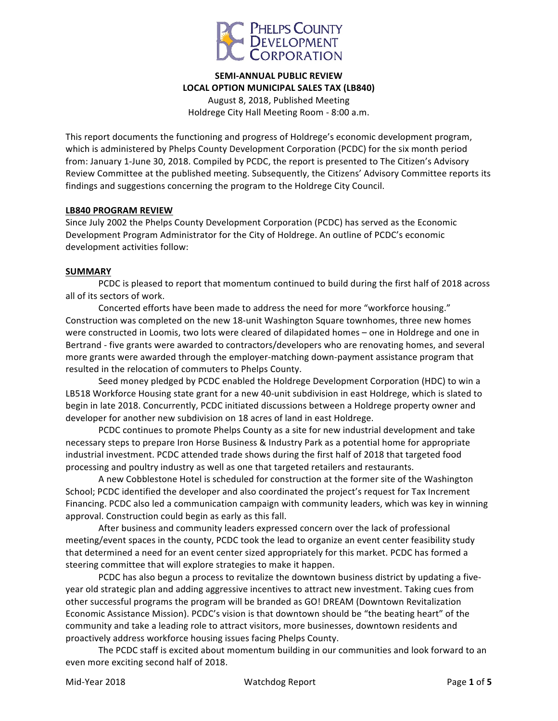

# **SEMI-ANNUAL PUBLIC REVIEW** LOCAL OPTION MUNICIPAL SALES TAX (LB840) August 8, 2018, Published Meeting Holdrege City Hall Meeting Room - 8:00 a.m.

This report documents the functioning and progress of Holdrege's economic development program, which is administered by Phelps County Development Corporation (PCDC) for the six month period from: January 1-June 30, 2018. Compiled by PCDC, the report is presented to The Citizen's Advisory Review Committee at the published meeting. Subsequently, the Citizens' Advisory Committee reports its findings and suggestions concerning the program to the Holdrege City Council.

#### **LB840 PROGRAM REVIEW**

Since July 2002 the Phelps County Development Corporation (PCDC) has served as the Economic Development Program Administrator for the City of Holdrege. An outline of PCDC's economic development activities follow:

#### **SUMMARY**

PCDC is pleased to report that momentum continued to build during the first half of 2018 across all of its sectors of work.

Concerted efforts have been made to address the need for more "workforce housing." Construction was completed on the new 18-unit Washington Square townhomes, three new homes were constructed in Loomis, two lots were cleared of dilapidated homes – one in Holdrege and one in Bertrand - five grants were awarded to contractors/developers who are renovating homes, and several more grants were awarded through the employer-matching down-payment assistance program that resulted in the relocation of commuters to Phelps County.

Seed money pledged by PCDC enabled the Holdrege Development Corporation (HDC) to win a LB518 Workforce Housing state grant for a new 40-unit subdivision in east Holdrege, which is slated to begin in late 2018. Concurrently, PCDC initiated discussions between a Holdrege property owner and developer for another new subdivision on 18 acres of land in east Holdrege.

PCDC continues to promote Phelps County as a site for new industrial development and take necessary steps to prepare Iron Horse Business & Industry Park as a potential home for appropriate industrial investment. PCDC attended trade shows during the first half of 2018 that targeted food processing and poultry industry as well as one that targeted retailers and restaurants.

A new Cobblestone Hotel is scheduled for construction at the former site of the Washington School; PCDC identified the developer and also coordinated the project's request for Tax Increment Financing. PCDC also led a communication campaign with community leaders, which was key in winning approval. Construction could begin as early as this fall.

After business and community leaders expressed concern over the lack of professional meeting/event spaces in the county, PCDC took the lead to organize an event center feasibility study that determined a need for an event center sized appropriately for this market. PCDC has formed a steering committee that will explore strategies to make it happen.

PCDC has also begun a process to revitalize the downtown business district by updating a fiveyear old strategic plan and adding aggressive incentives to attract new investment. Taking cues from other successful programs the program will be branded as GO! DREAM (Downtown Revitalization Economic Assistance Mission). PCDC's vision is that downtown should be "the beating heart" of the community and take a leading role to attract visitors, more businesses, downtown residents and proactively address workforce housing issues facing Phelps County.

The PCDC staff is excited about momentum building in our communities and look forward to an even more exciting second half of 2018.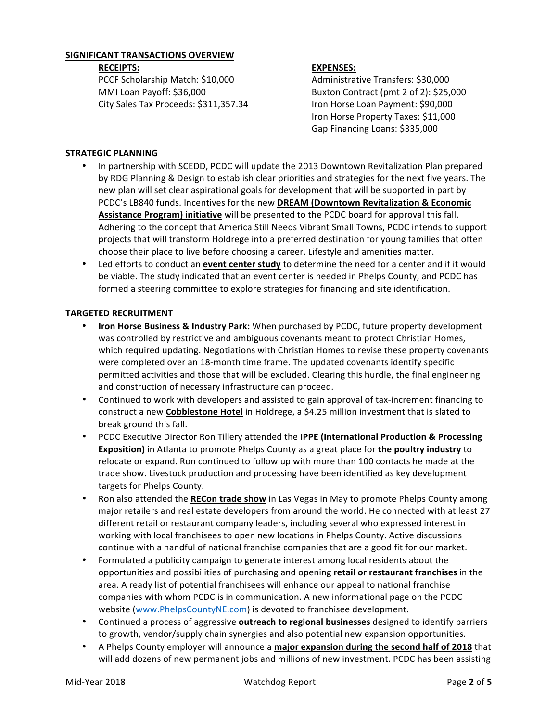## **SIGNIFICANT TRANSACTIONS OVERVIEW**

#### **RECEIPTS:**

PCCF Scholarship Match: \$10,000 MMI Loan Payoff: \$36,000 City Sales Tax Proceeds: \$311,357.34

### **EXPENSES:**

Administrative Transfers: \$30,000 Buxton Contract (pmt 2 of 2): \$25,000 Iron Horse Loan Payment: \$90,000 Iron Horse Property Taxes: \$11,000 Gap Financing Loans: \$335,000

## **STRATEGIC PLANNING**

- In partnership with SCEDD, PCDC will update the 2013 Downtown Revitalization Plan prepared by RDG Planning & Design to establish clear priorities and strategies for the next five years. The new plan will set clear aspirational goals for development that will be supported in part by PCDC's LB840 funds. Incentives for the new DREAM (Downtown Revitalization & Economic Assistance Program) initiative will be presented to the PCDC board for approval this fall. Adhering to the concept that America Still Needs Vibrant Small Towns, PCDC intends to support projects that will transform Holdrege into a preferred destination for young families that often choose their place to live before choosing a career. Lifestyle and amenities matter.
- Led efforts to conduct an **event center study** to determine the need for a center and if it would be viable. The study indicated that an event center is needed in Phelps County, and PCDC has formed a steering committee to explore strategies for financing and site identification.

## **TARGETED RECRUITMENT**

- **Iron Horse Business & Industry Park:** When purchased by PCDC, future property development was controlled by restrictive and ambiguous covenants meant to protect Christian Homes, which required updating. Negotiations with Christian Homes to revise these property covenants were completed over an 18-month time frame. The updated covenants identify specific permitted activities and those that will be excluded. Clearing this hurdle, the final engineering and construction of necessary infrastructure can proceed.
- Continued to work with developers and assisted to gain approval of tax-increment financing to construct a new Cobblestone Hotel in Holdrege, a \$4.25 million investment that is slated to break ground this fall.
- PCDC Executive Director Ron Tillery attended the **IPPE (International Production & Processing Exposition)** in Atlanta to promote Phelps County as a great place for **the poultry industry** to relocate or expand. Ron continued to follow up with more than 100 contacts he made at the trade show. Livestock production and processing have been identified as key development targets for Phelps County.
- Ron also attended the RECon trade show in Las Vegas in May to promote Phelps County among major retailers and real estate developers from around the world. He connected with at least 27 different retail or restaurant company leaders, including several who expressed interest in working with local franchisees to open new locations in Phelps County. Active discussions continue with a handful of national franchise companies that are a good fit for our market.
- Formulated a publicity campaign to generate interest among local residents about the opportunities and possibilities of purchasing and opening retail or restaurant franchises in the area. A ready list of potential franchisees will enhance our appeal to national franchise companies with whom PCDC is in communication. A new informational page on the PCDC website (www.PhelpsCountyNE.com) is devoted to franchisee development.
- Continued a process of aggressive **outreach to regional businesses** designed to identify barriers to growth, vendor/supply chain synergies and also potential new expansion opportunities.
- A Phelps County employer will announce a major expansion during the second half of 2018 that will add dozens of new permanent jobs and millions of new investment. PCDC has been assisting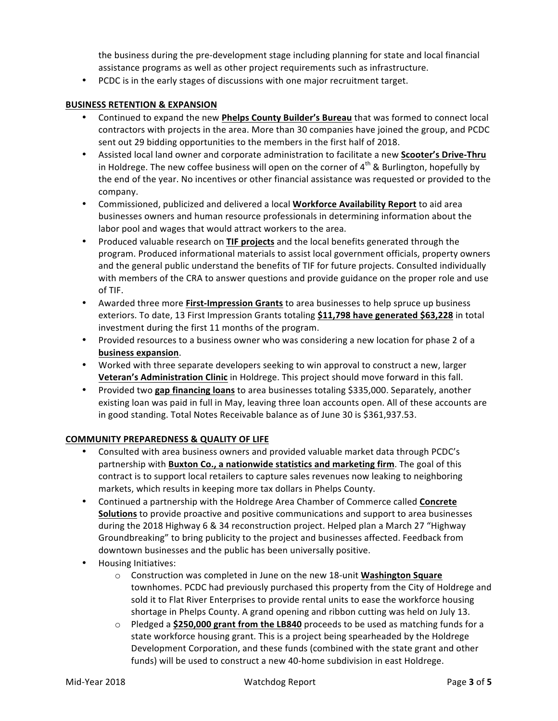the business during the pre-development stage including planning for state and local financial assistance programs as well as other project requirements such as infrastructure.

• PCDC is in the early stages of discussions with one major recruitment target.

# **BUSINESS RETENTION & EXPANSION**

- Continued to expand the new **Phelps County Builder's Bureau** that was formed to connect local contractors with projects in the area. More than 30 companies have joined the group, and PCDC sent out 29 bidding opportunities to the members in the first half of 2018.
- Assisted local land owner and corporate administration to facilitate a new **Scooter's Drive-Thru** in Holdrege. The new coffee business will open on the corner of  $4^{th}$  & Burlington, hopefully by the end of the year. No incentives or other financial assistance was requested or provided to the company.
- Commissioned, publicized and delivered a local **Workforce Availability Report** to aid area businesses owners and human resource professionals in determining information about the labor pool and wages that would attract workers to the area.
- Produced valuable research on TIF projects and the local benefits generated through the program. Produced informational materials to assist local government officials, property owners and the general public understand the benefits of TIF for future projects. Consulted individually with members of the CRA to answer questions and provide guidance on the proper role and use of TIF.
- Awarded three more **First-Impression Grants** to area businesses to help spruce up business exteriors. To date, 13 First Impression Grants totaling \$11,798 have generated \$63,228 in total investment during the first 11 months of the program.
- Provided resources to a business owner who was considering a new location for phase 2 of a **business expansion**.
- Worked with three separate developers seeking to win approval to construct a new, larger **Veteran's Administration Clinic** in Holdrege. This project should move forward in this fall.
- Provided two gap financing loans to area businesses totaling \$335,000. Separately, another existing loan was paid in full in May, leaving three loan accounts open. All of these accounts are in good standing. Total Notes Receivable balance as of June 30 is \$361,937.53.

## **COMMUNITY PREPAREDNESS & QUALITY OF LIFE**

- Consulted with area business owners and provided valuable market data through PCDC's partnership with **Buxton Co., a nationwide statistics and marketing firm**. The goal of this contract is to support local retailers to capture sales revenues now leaking to neighboring markets, which results in keeping more tax dollars in Phelps County.
- Continued a partnership with the Holdrege Area Chamber of Commerce called **Concrete Solutions** to provide proactive and positive communications and support to area businesses during the 2018 Highway 6 & 34 reconstruction project. Helped plan a March 27 "Highway Groundbreaking" to bring publicity to the project and businesses affected. Feedback from downtown businesses and the public has been universally positive.
- Housing Initiatives:
	- o Construction was completed in June on the new 18-unit Washington Square townhomes. PCDC had previously purchased this property from the City of Holdrege and sold it to Flat River Enterprises to provide rental units to ease the workforce housing shortage in Phelps County. A grand opening and ribbon cutting was held on July 13.
	- Pledged a **\$250,000 grant from the LB840** proceeds to be used as matching funds for a state workforce housing grant. This is a project being spearheaded by the Holdrege Development Corporation, and these funds (combined with the state grant and other funds) will be used to construct a new 40-home subdivision in east Holdrege.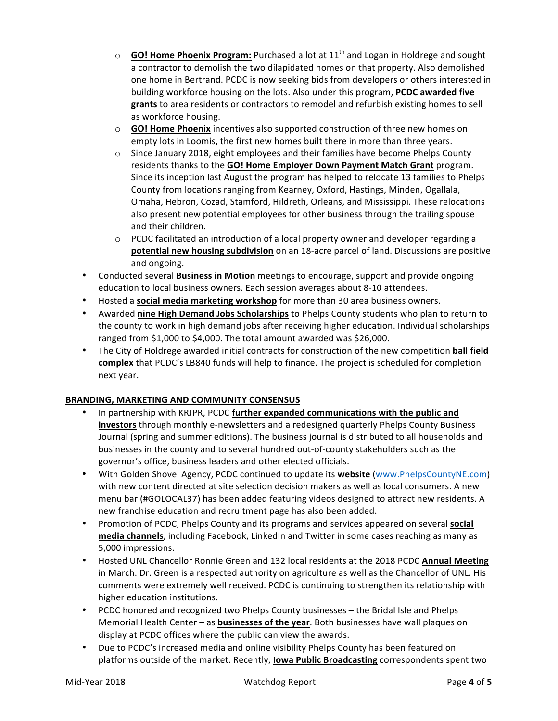- $\circ$  **GO! Home Phoenix Program:** Purchased a lot at 11<sup>th</sup> and Logan in Holdrege and sought a contractor to demolish the two dilapidated homes on that property. Also demolished one home in Bertrand. PCDC is now seeking bids from developers or others interested in building workforce housing on the lots. Also under this program, **PCDC awarded five** grants to area residents or contractors to remodel and refurbish existing homes to sell as workforce housing.
- $\circ$  **GO!** Home Phoenix incentives also supported construction of three new homes on empty lots in Loomis, the first new homes built there in more than three years.
- $\circ$  Since January 2018, eight employees and their families have become Phelps County residents thanks to the **GO! Home Employer Down Payment Match Grant** program. Since its inception last August the program has helped to relocate 13 families to Phelps County from locations ranging from Kearney, Oxford, Hastings, Minden, Ogallala, Omaha, Hebron, Cozad, Stamford, Hildreth, Orleans, and Mississippi. These relocations also present new potential employees for other business through the trailing spouse and their children.
- $\circ$  PCDC facilitated an introduction of a local property owner and developer regarding a **potential new housing subdivision** on an 18-acre parcel of land. Discussions are positive and ongoing.
- Conducted several **Business in Motion** meetings to encourage, support and provide ongoing education to local business owners. Each session averages about 8-10 attendees.
- Hosted a **social media marketing workshop** for more than 30 area business owners.
- Awarded nine High Demand Jobs Scholarships to Phelps County students who plan to return to the county to work in high demand jobs after receiving higher education. Individual scholarships ranged from \$1,000 to \$4,000. The total amount awarded was \$26,000.
- The City of Holdrege awarded initial contracts for construction of the new competition **ball field complex** that PCDC's LB840 funds will help to finance. The project is scheduled for completion next year.

# **BRANDING, MARKETING AND COMMUNITY CONSENSUS**

- In partnership with KRJPR, PCDC further expanded communications with the public and **investors** through monthly e-newsletters and a redesigned quarterly Phelps County Business Journal (spring and summer editions). The business journal is distributed to all households and businesses in the county and to several hundred out-of-county stakeholders such as the governor's office, business leaders and other elected officials.
- With Golden Shovel Agency, PCDC continued to update its **website** (www.PhelpsCountyNE.com) with new content directed at site selection decision makers as well as local consumers. A new menu bar (#GOLOCAL37) has been added featuring videos designed to attract new residents. A new franchise education and recruitment page has also been added.
- Promotion of PCDC, Phelps County and its programs and services appeared on several **social** media channels, including Facebook, LinkedIn and Twitter in some cases reaching as many as 5,000 impressions.
- Hosted UNL Chancellor Ronnie Green and 132 local residents at the 2018 PCDC Annual Meeting in March. Dr. Green is a respected authority on agriculture as well as the Chancellor of UNL. His comments were extremely well received. PCDC is continuing to strengthen its relationship with higher education institutions.
- PCDC honored and recognized two Phelps County businesses the Bridal Isle and Phelps Memorial Health Center – as **businesses of the year**. Both businesses have wall plaques on display at PCDC offices where the public can view the awards.
- Due to PCDC's increased media and online visibility Phelps County has been featured on platforms outside of the market. Recently, **lowa Public Broadcasting** correspondents spent two